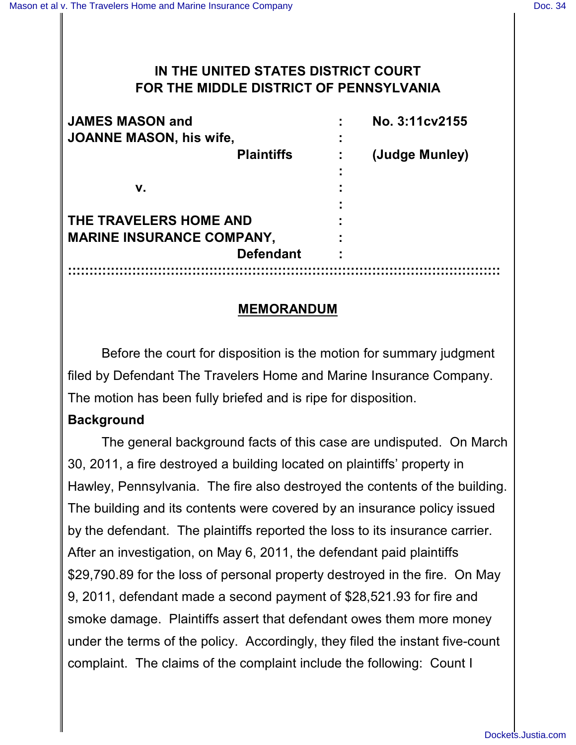# **IN THE UNITED STATES DISTRICT COURT FOR THE MIDDLE DISTRICT OF PENNSYLVANIA**

| <b>JAMES MASON and</b>           | No. 3:11cv2155 |
|----------------------------------|----------------|
| <b>JOANNE MASON, his wife,</b>   |                |
| <b>Plaintiffs</b>                | (Judge Munley) |
|                                  |                |
| v.                               |                |
|                                  |                |
| THE TRAVELERS HOME AND           |                |
| <b>MARINE INSURANCE COMPANY,</b> |                |
| <b>Defendant</b>                 | ٠              |
|                                  |                |

### **MEMORANDUM**

Before the court for disposition is the motion for summary judgment filed by Defendant The Travelers Home and Marine Insurance Company. The motion has been fully briefed and is ripe for disposition.

# **Background**

The general background facts of this case are undisputed. On March 30, 2011, a fire destroyed a building located on plaintiffs' property in Hawley, Pennsylvania. The fire also destroyed the contents of the building. The building and its contents were covered by an insurance policy issued by the defendant. The plaintiffs reported the loss to its insurance carrier. After an investigation, on May 6, 2011, the defendant paid plaintiffs \$29,790.89 for the loss of personal property destroyed in the fire. On May 9, 2011, defendant made a second payment of \$28,521.93 for fire and smoke damage. Plaintiffs assert that defendant owes them more money under the terms of the policy. Accordingly, they filed the instant five-count complaint. The claims of the complaint include the following: Count I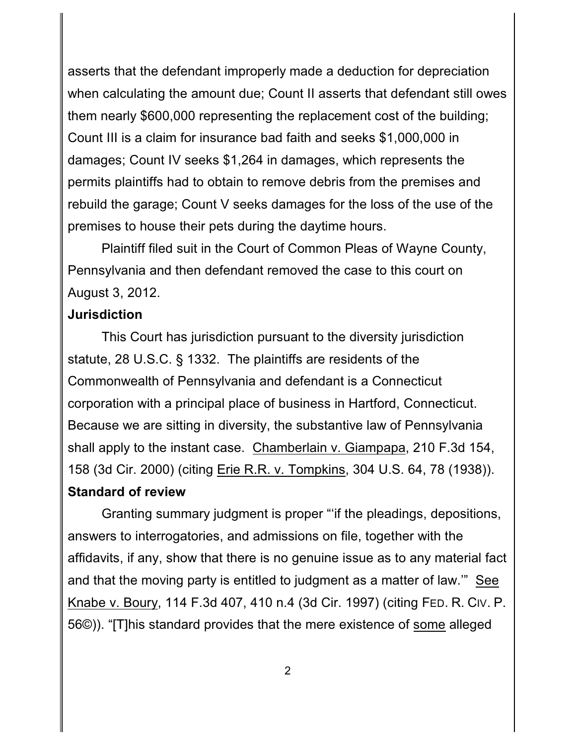asserts that the defendant improperly made a deduction for depreciation when calculating the amount due; Count II asserts that defendant still owes them nearly \$600,000 representing the replacement cost of the building; Count III is a claim for insurance bad faith and seeks \$1,000,000 in damages; Count IV seeks \$1,264 in damages, which represents the permits plaintiffs had to obtain to remove debris from the premises and rebuild the garage; Count V seeks damages for the loss of the use of the premises to house their pets during the daytime hours.

Plaintiff filed suit in the Court of Common Pleas of Wayne County, Pennsylvania and then defendant removed the case to this court on August 3, 2012.

#### **Jurisdiction**

This Court has jurisdiction pursuant to the diversity jurisdiction statute, 28 U.S.C. § 1332. The plaintiffs are residents of the Commonwealth of Pennsylvania and defendant is a Connecticut corporation with a principal place of business in Hartford, Connecticut. Because we are sitting in diversity, the substantive law of Pennsylvania shall apply to the instant case. Chamberlain v. Giampapa, 210 F.3d 154, 158 (3d Cir. 2000) (citing Erie R.R. v. Tompkins, 304 U.S. 64, 78 (1938)). **Standard of review**

Granting summary judgment is proper "'if the pleadings, depositions, answers to interrogatories, and admissions on file, together with the affidavits, if any, show that there is no genuine issue as to any material fact and that the moving party is entitled to judgment as a matter of law.'" See Knabe v. Boury, 114 F.3d 407, 410 n.4 (3d Cir. 1997) (citing FED. R. CIV. P. 56©)). "[T]his standard provides that the mere existence of some alleged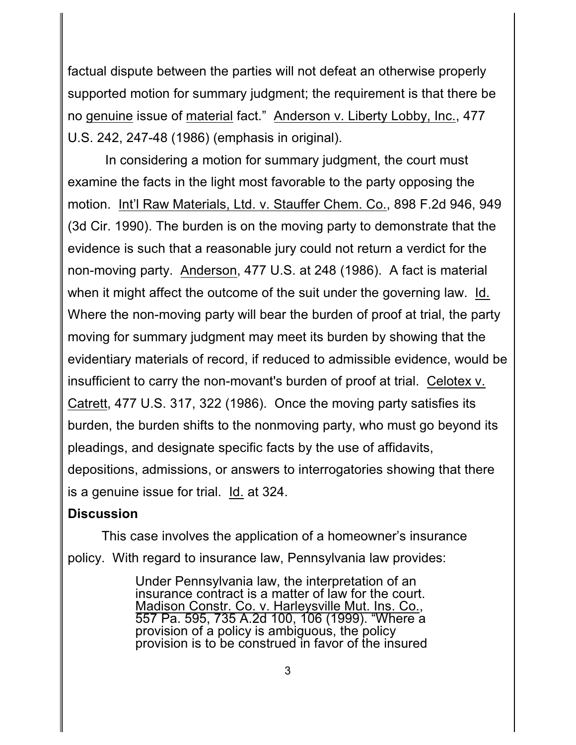factual dispute between the parties will not defeat an otherwise properly supported motion for summary judgment; the requirement is that there be no genuine issue of material fact." Anderson v. Liberty Lobby, Inc., 477 U.S. 242, 247-48 (1986) (emphasis in original).

 In considering a motion for summary judgment, the court must examine the facts in the light most favorable to the party opposing the motion. Int'l Raw Materials, Ltd. v. Stauffer Chem. Co., 898 F.2d 946, 949 (3d Cir. 1990). The burden is on the moving party to demonstrate that the evidence is such that a reasonable jury could not return a verdict for the non-moving party. Anderson, 477 U.S. at 248 (1986). A fact is material when it might affect the outcome of the suit under the governing law. Id. Where the non-moving party will bear the burden of proof at trial, the party moving for summary judgment may meet its burden by showing that the evidentiary materials of record, if reduced to admissible evidence, would be insufficient to carry the non-movant's burden of proof at trial. Celotex v. Catrett, 477 U.S. 317, 322 (1986). Once the moving party satisfies its burden, the burden shifts to the nonmoving party, who must go beyond its pleadings, and designate specific facts by the use of affidavits, depositions, admissions, or answers to interrogatories showing that there is a genuine issue for trial. Id. at 324.

#### **Discussion**

This case involves the application of a homeowner's insurance policy. With regard to insurance law, Pennsylvania law provides:

> Under Pennsylvania law, the interpretation of an insurance contract is a matter of law for the court. Madison Constr. Co. v. Harleysville Mut. Ins. Co., 557 Pa. 595, 735 A.2d 100, 106 (1999). "Where a provision of a policy is ambiguous, the policy provision is to be construed in favor of the insured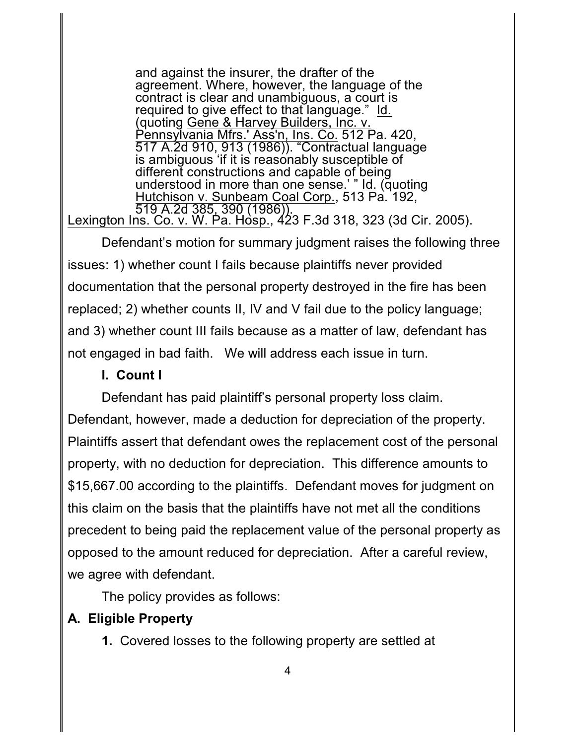and against the insurer, the drafter of the agreement. Where, however, the language of the contract is clear and unambiguous, a court is required to give effect to that language." Id. (quoting Gene & Harvey Builders, Inc. v. Pennsylvania Mfrs.' Ass'n, Ins. Co. 512 Pa. 420, 517 A.2d 910, 913 (1986)). "Contractual language is ambiguous 'if it is reasonably susceptible of different constructions and capable of being understood in more than one sense.' " Id. (quoting Hutchison v. Sunbeam Coal Corp., 513 Pa. 192, 519 A.2d 385, 390 (1986)). <u>Lexington Ins. Co. v. W. Pa. Hòsp.</u>, 423 F.3d 318, 323 (3d Cir. 2005).

Defendant's motion for summary judgment raises the following three issues: 1) whether count I fails because plaintiffs never provided documentation that the personal property destroyed in the fire has been replaced; 2) whether counts II, IV and V fail due to the policy language; and 3) whether count III fails because as a matter of law, defendant has not engaged in bad faith. We will address each issue in turn.

## **I. Count I**

Defendant has paid plaintiff's personal property loss claim. Defendant, however, made a deduction for depreciation of the property. Plaintiffs assert that defendant owes the replacement cost of the personal property, with no deduction for depreciation. This difference amounts to \$15,667.00 according to the plaintiffs. Defendant moves for judgment on this claim on the basis that the plaintiffs have not met all the conditions precedent to being paid the replacement value of the personal property as opposed to the amount reduced for depreciation. After a careful review, we agree with defendant.

The policy provides as follows:

# **A. Eligible Property**

**1.** Covered losses to the following property are settled at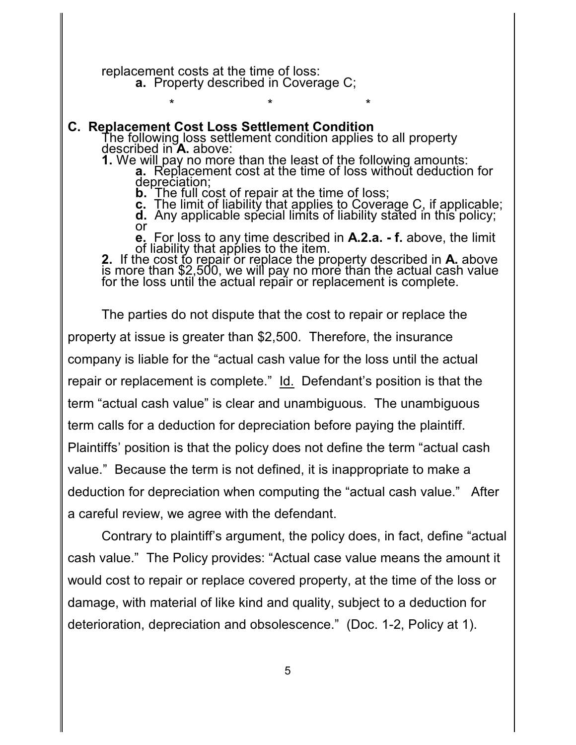replacement costs at the time of loss: **a.** Property described in Coverage C;

#### **C. Replacement Cost Loss Settlement Condition**

The following loss settlement condition applies to all property described in **A.** above:

\* \* \*

**1.** We will pay no more than the least of the following amounts: **a.** Replacement cost at the time of loss without deduction for depreciation;

**b.** The full cost of repair at the time of loss;

**c.** The limit of liability that applies to Coverage C, if applicable;

**d.** Any applicable special limits of liability stated in this policy; or

**e.** For loss to any time described in **A.2.a. - f.** above, the limit of liability that applies to the item.

**2.** If the cost to repair or replace the property described in **A**. above is more than \$2,500, we will pay no more than the actual cash value for the loss until the actual repair or replacement is complete.

The parties do not dispute that the cost to repair or replace the property at issue is greater than \$2,500. Therefore, the insurance company is liable for the "actual cash value for the loss until the actual repair or replacement is complete." Id. Defendant's position is that the term "actual cash value" is clear and unambiguous. The unambiguous term calls for a deduction for depreciation before paying the plaintiff. Plaintiffs' position is that the policy does not define the term "actual cash value." Because the term is not defined, it is inappropriate to make a deduction for depreciation when computing the "actual cash value." After a careful review, we agree with the defendant.

Contrary to plaintiff's argument, the policy does, in fact, define "actual cash value." The Policy provides: "Actual case value means the amount it would cost to repair or replace covered property, at the time of the loss or damage, with material of like kind and quality, subject to a deduction for deterioration, depreciation and obsolescence." (Doc. 1-2, Policy at 1).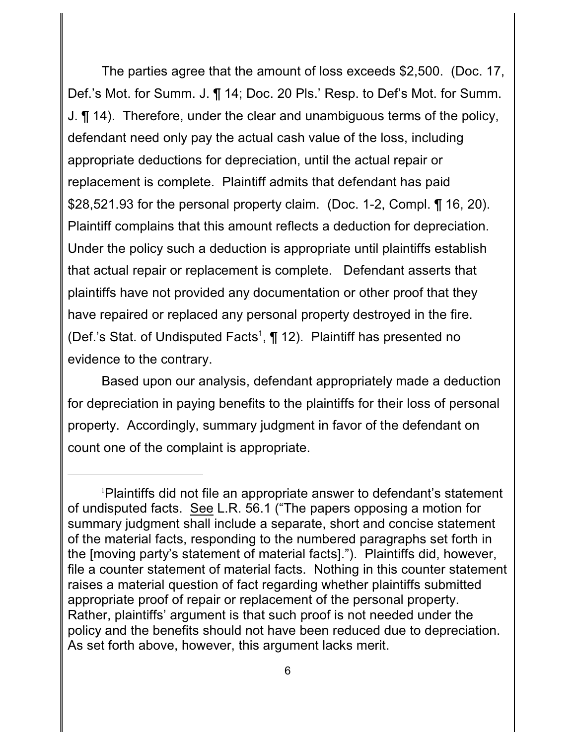The parties agree that the amount of loss exceeds \$2,500. (Doc. 17, Def.'s Mot. for Summ. J. ¶ 14; Doc. 20 Pls.' Resp. to Def's Mot. for Summ. J. ¶ 14). Therefore, under the clear and unambiguous terms of the policy, defendant need only pay the actual cash value of the loss, including appropriate deductions for depreciation, until the actual repair or replacement is complete. Plaintiff admits that defendant has paid \$28,521.93 for the personal property claim. (Doc. 1-2, Compl. ¶ 16, 20). Plaintiff complains that this amount reflects a deduction for depreciation. Under the policy such a deduction is appropriate until plaintiffs establish that actual repair or replacement is complete. Defendant asserts that plaintiffs have not provided any documentation or other proof that they have repaired or replaced any personal property destroyed in the fire. (Def.'s Stat. of Undisputed Facts<sup>1</sup>,  $\P$  12). Plaintiff has presented no evidence to the contrary.

Based upon our analysis, defendant appropriately made a deduction for depreciation in paying benefits to the plaintiffs for their loss of personal property. Accordingly, summary judgment in favor of the defendant on count one of the complaint is appropriate.

Plaintiffs did not file an appropriate answer to defendant's statement <sup>1</sup> of undisputed facts. See L.R. 56.1 ("The papers opposing a motion for summary judgment shall include a separate, short and concise statement of the material facts, responding to the numbered paragraphs set forth in the [moving party's statement of material facts]."). Plaintiffs did, however, file a counter statement of material facts. Nothing in this counter statement raises a material question of fact regarding whether plaintiffs submitted appropriate proof of repair or replacement of the personal property. Rather, plaintiffs' argument is that such proof is not needed under the policy and the benefits should not have been reduced due to depreciation. As set forth above, however, this argument lacks merit.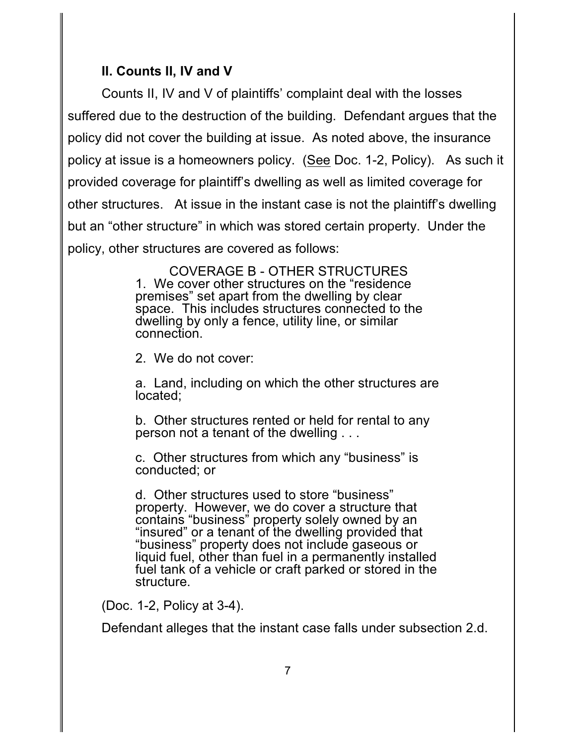# **II. Counts II, IV and V**

Counts II, IV and V of plaintiffs' complaint deal with the losses suffered due to the destruction of the building. Defendant argues that the policy did not cover the building at issue. As noted above, the insurance policy at issue is a homeowners policy. (See Doc. 1-2, Policy). As such it provided coverage for plaintiff's dwelling as well as limited coverage for other structures. At issue in the instant case is not the plaintiff's dwelling but an "other structure" in which was stored certain property. Under the policy, other structures are covered as follows:

> COVERAGE B - OTHER STRUCTURES 1. We cover other structures on the "residence premises" set apart from the dwelling by clear space. This includes structures connected to the dwelling by only a fence, utility line, or similar connection.

2. We do not cover:

a. Land, including on which the other structures are located;

b. Other structures rented or held for rental to any person not a tenant of the dwelling . . .

c. Other structures from which any "business" is conducted; or

d. Other structures used to store "business" property. However, we do cover a structure that contains "business" property solely owned by an "insured" or a tenant of the dwelling provided that "business" property does not include gaseous or liquid fuel, other than fuel in a permanently installed fuel tank of a vehicle or craft parked or stored in the structure.

(Doc. 1-2, Policy at 3-4).

Defendant alleges that the instant case falls under subsection 2.d.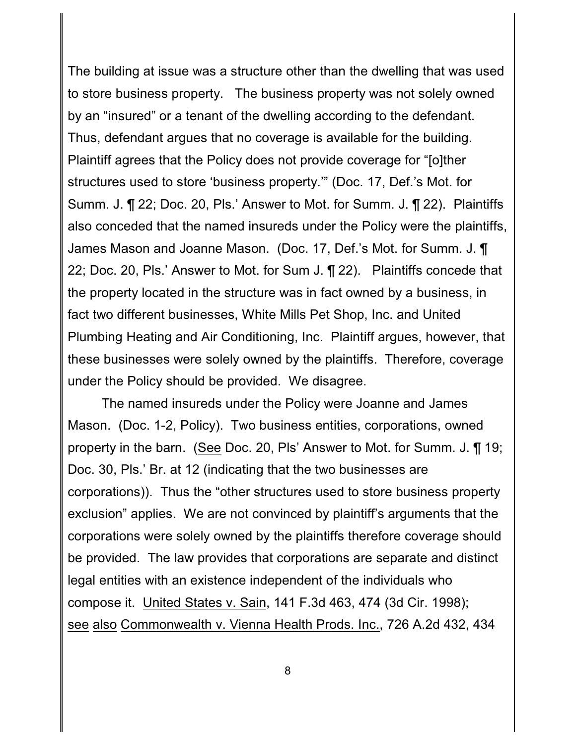The building at issue was a structure other than the dwelling that was used to store business property. The business property was not solely owned by an "insured" or a tenant of the dwelling according to the defendant. Thus, defendant argues that no coverage is available for the building. Plaintiff agrees that the Policy does not provide coverage for "[o]ther structures used to store 'business property.'" (Doc. 17, Def.'s Mot. for Summ. J. ¶ 22; Doc. 20, Pls.' Answer to Mot. for Summ. J. ¶ 22). Plaintiffs also conceded that the named insureds under the Policy were the plaintiffs, James Mason and Joanne Mason. (Doc. 17, Def.'s Mot. for Summ. J. ¶ 22; Doc. 20, Pls.' Answer to Mot. for Sum J. ¶ 22). Plaintiffs concede that the property located in the structure was in fact owned by a business, in fact two different businesses, White Mills Pet Shop, Inc. and United Plumbing Heating and Air Conditioning, Inc. Plaintiff argues, however, that these businesses were solely owned by the plaintiffs. Therefore, coverage under the Policy should be provided. We disagree.

The named insureds under the Policy were Joanne and James Mason. (Doc. 1-2, Policy). Two business entities, corporations, owned property in the barn. (See Doc. 20, Pls' Answer to Mot. for Summ. J. ¶ 19; Doc. 30, Pls.' Br. at 12 (indicating that the two businesses are corporations)). Thus the "other structures used to store business property exclusion" applies. We are not convinced by plaintiff's arguments that the corporations were solely owned by the plaintiffs therefore coverage should be provided. The law provides that corporations are separate and distinct legal entities with an existence independent of the individuals who compose it. United States v. Sain, 141 F.3d 463, 474 (3d Cir. 1998); see also Commonwealth v. Vienna Health Prods. Inc., 726 A.2d 432, 434

8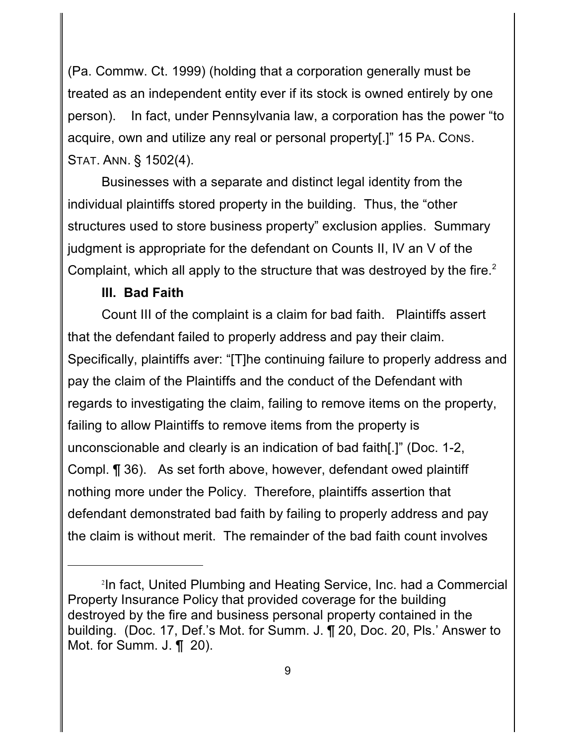(Pa. Commw. Ct. 1999) (holding that a corporation generally must be treated as an independent entity ever if its stock is owned entirely by one person). In fact, under Pennsylvania law, a corporation has the power "to acquire, own and utilize any real or personal property[.]" 15 PA. CONS. STAT. ANN. § 1502(4).

Businesses with a separate and distinct legal identity from the individual plaintiffs stored property in the building. Thus, the "other structures used to store business property" exclusion applies. Summary judgment is appropriate for the defendant on Counts II, IV an V of the Complaint, which all apply to the structure that was destroyed by the fire. $2$ 

#### **III. Bad Faith**

Count III of the complaint is a claim for bad faith. Plaintiffs assert that the defendant failed to properly address and pay their claim. Specifically, plaintiffs aver: "[T]he continuing failure to properly address and pay the claim of the Plaintiffs and the conduct of the Defendant with regards to investigating the claim, failing to remove items on the property, failing to allow Plaintiffs to remove items from the property is unconscionable and clearly is an indication of bad faith[.]" (Doc. 1-2, Compl. ¶ 36). As set forth above, however, defendant owed plaintiff nothing more under the Policy. Therefore, plaintiffs assertion that defendant demonstrated bad faith by failing to properly address and pay the claim is without merit. The remainder of the bad faith count involves

<sup>&</sup>lt;sup>2</sup>In fact, United Plumbing and Heating Service, Inc. had a Commercial Property Insurance Policy that provided coverage for the building destroyed by the fire and business personal property contained in the building. (Doc. 17, Def.'s Mot. for Summ. J. ¶ 20, Doc. 20, Pls.' Answer to Mot. for Summ. J. ¶ 20).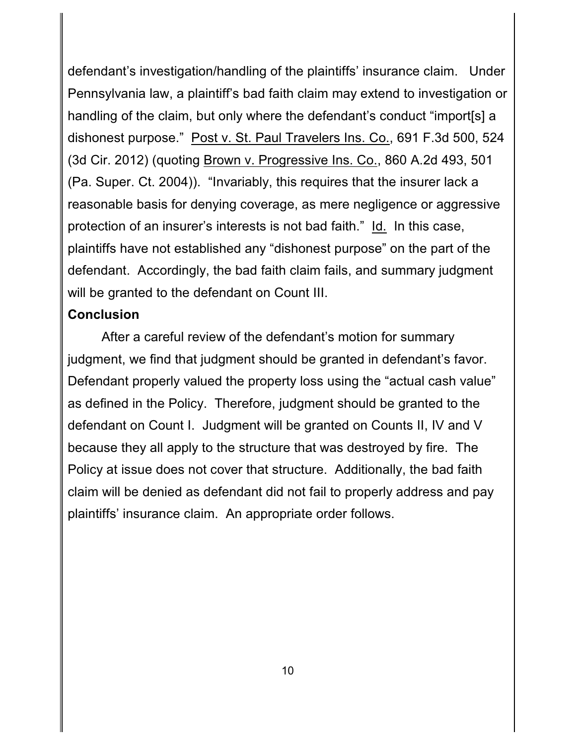defendant's investigation/handling of the plaintiffs' insurance claim. Under Pennsylvania law, a plaintiff's bad faith claim may extend to investigation or handling of the claim, but only where the defendant's conduct "import[s] a dishonest purpose." Post v. St. Paul Travelers Ins. Co., 691 F.3d 500, 524 (3d Cir. 2012) (quoting Brown v. Progressive Ins. Co., 860 A.2d 493, 501 (Pa. Super. Ct. 2004)). "Invariably, this requires that the insurer lack a reasonable basis for denying coverage, as mere negligence or aggressive protection of an insurer's interests is not bad faith." Id. In this case, plaintiffs have not established any "dishonest purpose" on the part of the defendant. Accordingly, the bad faith claim fails, and summary judgment will be granted to the defendant on Count III.

#### **Conclusion**

After a careful review of the defendant's motion for summary judgment, we find that judgment should be granted in defendant's favor. Defendant properly valued the property loss using the "actual cash value" as defined in the Policy. Therefore, judgment should be granted to the defendant on Count I. Judgment will be granted on Counts II, IV and V because they all apply to the structure that was destroyed by fire. The Policy at issue does not cover that structure. Additionally, the bad faith claim will be denied as defendant did not fail to properly address and pay plaintiffs' insurance claim. An appropriate order follows.